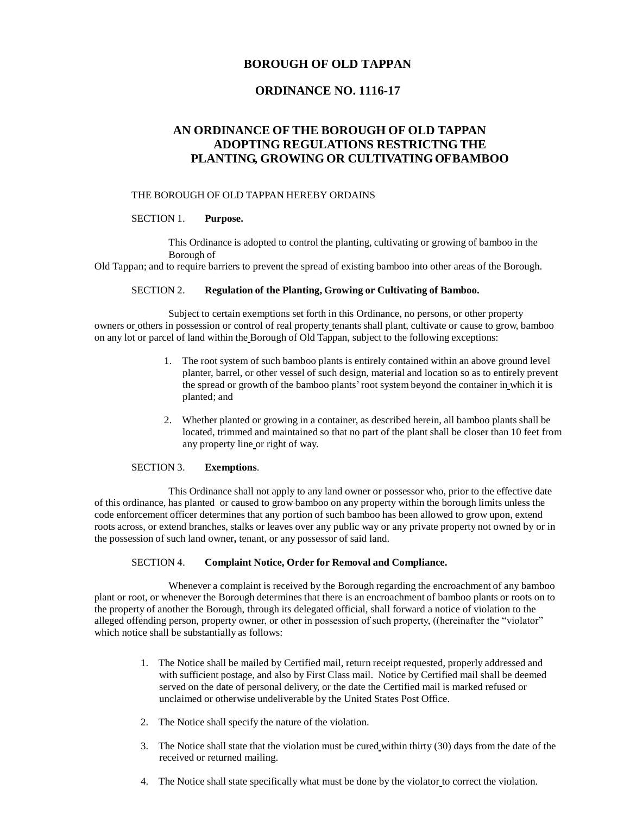# **BOROUGH OF OLD TAPPAN**

# **ORDINANCE NO. 1116-17**

# **AN ORDINANCE OF THE BOROUGH OF OLD TAPPAN ADOPTING REGULATIONS RESTRICTNG THE PLANTING, GROWING OR CULTIVATINGOF BAMBOO**

# THE BOROUGH OF OLD TAPPAN HEREBY ORDAINS

#### SECTION 1. **Purpose.**

This Ordinance is adopted to control the planting, cultivating or growing of bamboo in the Borough of

Old Tappan; and to require barriers to prevent the spread of existing bamboo into other areas of the Borough.

# SECTION 2. **Regulation of the Planting, Growing or Cultivating of Bamboo.**

Subject to certain exemptions set forth in this Ordinance, no persons, or other property owners or others in possession or control of real property tenants shall plant, cultivate or cause to grow, bamboo on any lot or parcel of land within the Borough of Old Tappan, subject to the following exceptions:

- 1. The root system of such bamboo plants is entirely contained within an above ground level planter, barrel, or other vessel of such design, material and location so as to entirely prevent the spread or growth of the bamboo plants'root system beyond the container in which it is planted; and
- 2. Whether planted or growing in a container, as described herein, all bamboo plants shall be located, trimmed and maintained so that no part of the plant shall be closer than 10 feet from any property line or right of way.

# SECTION 3. **Exemptions**.

This Ordinance shall not apply to any land owner or possessor who, prior to the effective date of this ordinance, has planted or caused to grow bamboo on any property within the borough limits unless the code enforcement officer determines that any portion of such bamboo has been allowed to grow upon, extend roots across, or extend branches, stalks or leaves over any public way or any private property not owned by or in the possession of such land owner**,** tenant, or any possessor of said land.

# SECTION 4. **Complaint Notice, Order for Removal and Compliance.**

Whenever a complaint is received by the Borough regarding the encroachment of any bamboo plant or root, or whenever the Borough determines that there is an encroachment of bamboo plants or roots on to the property of another the Borough, through its delegated official, shall forward a notice of violation to the alleged offending person, property owner, or other in possession of such property, ((hereinafter the "violator" which notice shall be substantially as follows:

- 1. The Notice shall be mailed by Certified mail, return receipt requested, properly addressed and with sufficient postage, and also by First Class mail. Notice by Certified mail shall be deemed served on the date of personal delivery, or the date the Certified mail is marked refused or unclaimed or otherwise undeliverable by the United States Post Office.
- 2. The Notice shall specify the nature of the violation.
- 3. The Notice shall state that the violation must be cured within thirty (30) days from the date of the received or returned mailing.
- 4. The Notice shall state specifically what must be done by the violator to correct the violation.